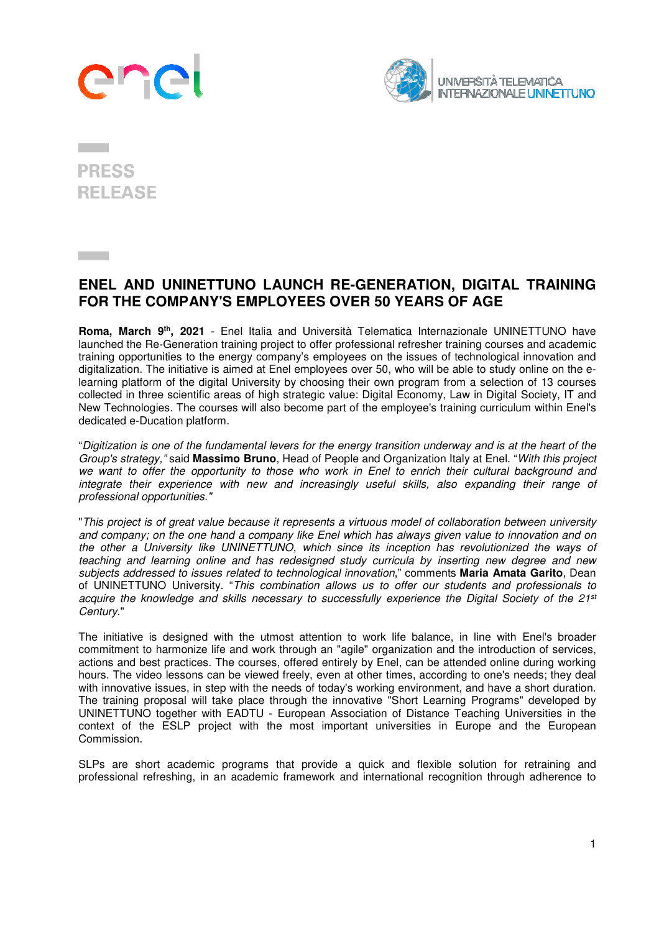## 2Ŋ



## **PRESS RELEASE**

## **ENEL AND UNINETTUNO LAUNCH RE-GENERATION, DIGITAL TRAINING FOR THE COMPANY'S EMPLOYEES OVER 50 YEARS OF AGE**

**Roma, March 9th, 2021** - Enel Italia and Università Telematica Internazionale UNINETTUNO have launched the Re-Generation training project to offer professional refresher training courses and academic training opportunities to the energy company's employees on the issues of technological innovation and digitalization. The initiative is aimed at Enel employees over 50, who will be able to study online on the elearning platform of the digital University by choosing their own program from a selection of 13 courses collected in three scientific areas of high strategic value: Digital Economy, Law in Digital Society, IT and New Technologies. The courses will also become part of the employee's training curriculum within Enel's dedicated e-Ducation platform.

"Digitization is one of the fundamental levers for the energy transition underway and is at the heart of the Group's strategy," said **Massimo Bruno**, Head of People and Organization Italy at Enel. "With this project we want to offer the opportunity to those who work in Enel to enrich their cultural background and integrate their experience with new and increasingly useful skills, also expanding their range of professional opportunities."

"This project is of great value because it represents a virtuous model of collaboration between university and company; on the one hand a company like Enel which has always given value to innovation and on the other a University like UNINETTUNO, which since its inception has revolutionized the ways of teaching and learning online and has redesigned study curricula by inserting new degree and new subjects addressed to issues related to technological innovation," comments **Maria Amata Garito**, Dean of UNINETTUNO University. "This combination allows us to offer our students and professionals to acquire the knowledge and skills necessary to successfully experience the Digital Society of the 21<sup>st</sup> Century."

The initiative is designed with the utmost attention to work life balance, in line with Enel's broader commitment to harmonize life and work through an "agile" organization and the introduction of services, actions and best practices. The courses, offered entirely by Enel, can be attended online during working hours. The video lessons can be viewed freely, even at other times, according to one's needs; they deal with innovative issues, in step with the needs of today's working environment, and have a short duration. The training proposal will take place through the innovative "Short Learning Programs" developed by UNINETTUNO together with EADTU - European Association of Distance Teaching Universities in the context of the ESLP project with the most important universities in Europe and the European Commission.

SLPs are short academic programs that provide a quick and flexible solution for retraining and professional refreshing, in an academic framework and international recognition through adherence to